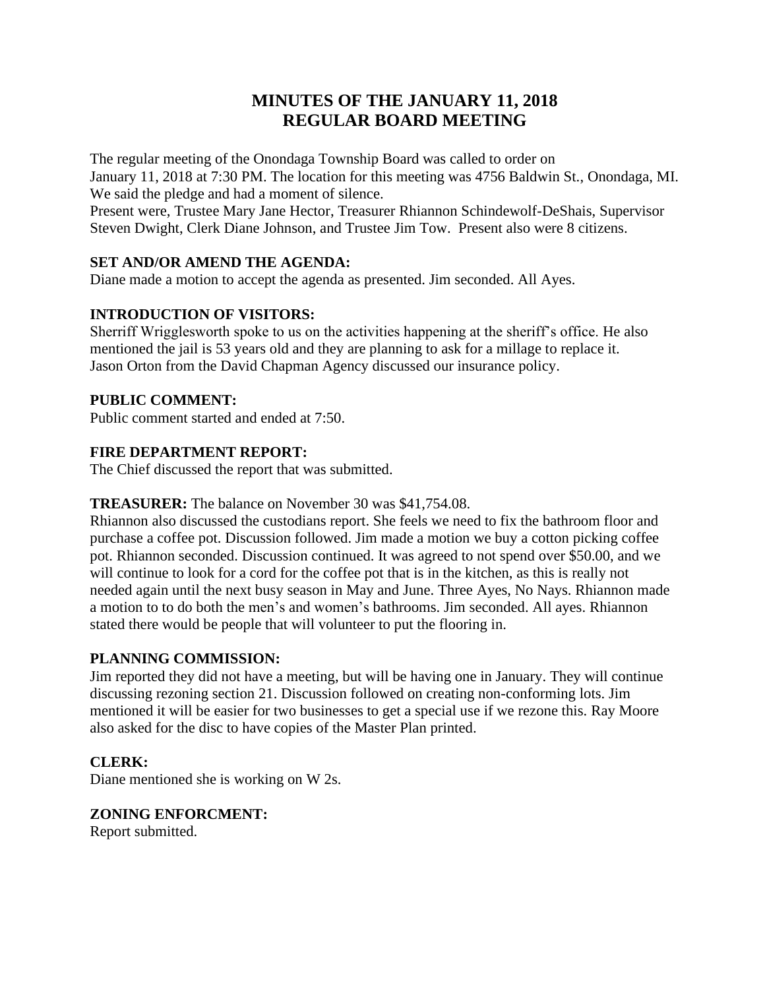# **MINUTES OF THE JANUARY 11, 2018 REGULAR BOARD MEETING**

The regular meeting of the Onondaga Township Board was called to order on January 11, 2018 at 7:30 PM. The location for this meeting was 4756 Baldwin St., Onondaga, MI. We said the pledge and had a moment of silence.

Present were, Trustee Mary Jane Hector, Treasurer Rhiannon Schindewolf-DeShais, Supervisor Steven Dwight, Clerk Diane Johnson, and Trustee Jim Tow. Present also were 8 citizens.

# **SET AND/OR AMEND THE AGENDA:**

Diane made a motion to accept the agenda as presented. Jim seconded. All Ayes.

# **INTRODUCTION OF VISITORS:**

Sherriff Wrigglesworth spoke to us on the activities happening at the sheriff's office. He also mentioned the jail is 53 years old and they are planning to ask for a millage to replace it. Jason Orton from the David Chapman Agency discussed our insurance policy.

# **PUBLIC COMMENT:**

Public comment started and ended at 7:50.

# **FIRE DEPARTMENT REPORT:**

The Chief discussed the report that was submitted.

# **TREASURER:** The balance on November 30 was \$41,754.08.

Rhiannon also discussed the custodians report. She feels we need to fix the bathroom floor and purchase a coffee pot. Discussion followed. Jim made a motion we buy a cotton picking coffee pot. Rhiannon seconded. Discussion continued. It was agreed to not spend over \$50.00, and we will continue to look for a cord for the coffee pot that is in the kitchen, as this is really not needed again until the next busy season in May and June. Three Ayes, No Nays. Rhiannon made a motion to to do both the men's and women's bathrooms. Jim seconded. All ayes. Rhiannon stated there would be people that will volunteer to put the flooring in.

# **PLANNING COMMISSION:**

Jim reported they did not have a meeting, but will be having one in January. They will continue discussing rezoning section 21. Discussion followed on creating non-conforming lots. Jim mentioned it will be easier for two businesses to get a special use if we rezone this. Ray Moore also asked for the disc to have copies of the Master Plan printed.

# **CLERK:**

Diane mentioned she is working on W 2s.

# **ZONING ENFORCMENT:**

Report submitted.